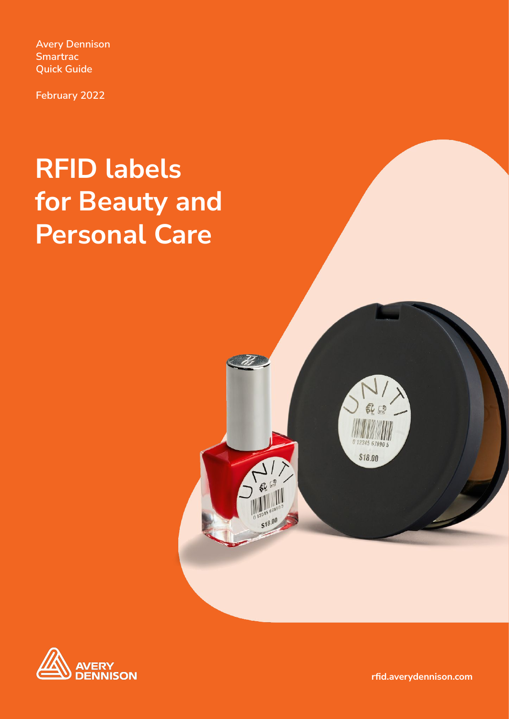**Avery Dennison Smartrac Quick Guide**

**February 2022**

# **RFID labels for Beauty and Personal Care**





**rfid.averydennison.com**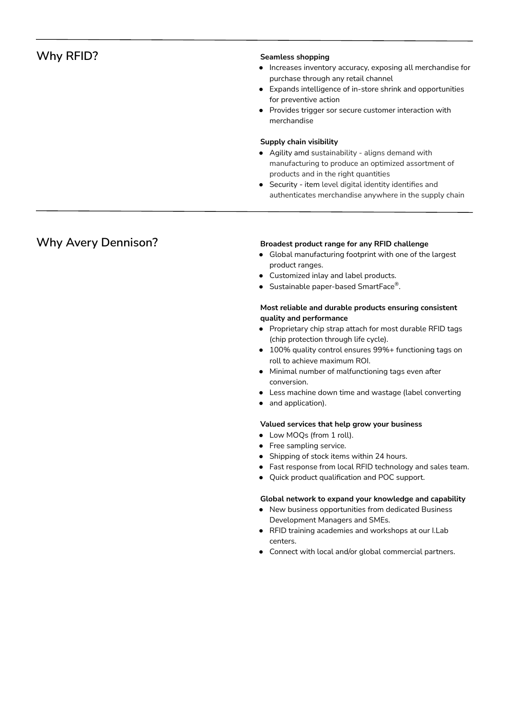# **Why RFID?** Seamless shopping

- Increases inventory accuracy, exposing all merchandise for purchase through any retail channel
- Expands intelligence of in-store shrink and opportunities for preventive action
- Provides trigger sor secure customer interaction with merchandise

### **Supply chain visibility**

- Agility amd sustainability aligns demand with manufacturing to produce an optimized assortment of products and in the right quantities
- Security item level digital identity identifies and authenticates merchandise anywhere in the supply chain

# **Why Avery Dennison? Broadest product range for any RFID challenge**

- Global manufacturing footprint with one of the largest product ranges.
- Customized inlay and label products.
- **•** Sustainable paper-based SmartFace<sup>®</sup>.

## **Most reliable and durable products ensuring consistent quality and performance**

- Proprietary chip strap attach for most durable RFID tags (chip protection through life cycle).
- 100% quality control ensures 99%+ functioning tags on roll to achieve maximum ROI.
- Minimal number of malfunctioning tags even after conversion.
- Less machine down time and wastage (label converting
- and application).

### **Valued services that help grow your business**

- Low MOQs (from 1 roll).
- Free sampling service.
- Shipping of stock items within 24 hours.
- Fast response from local RFID technology and sales team.
- Quick product qualification and POC support.

### **Global network to expand your knowledge and capability**

- New business opportunities from dedicated Business Development Managers and SMEs.
- RFID training academies and workshops at our I.Lab centers.
- Connect with local and/or global commercial partners.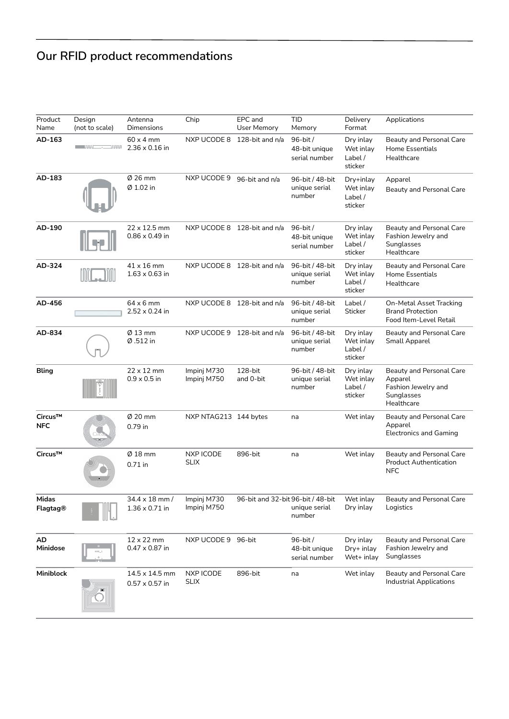# **Our RFID product recommendations**

| Product<br>Name       | Design<br>(not to scale)                                                                   | Antenna<br><b>Dimensions</b>                 | Chip                            | EPC and<br>User Memory            | <b>TID</b><br>Memory                       | Delivery<br>Format                           | Applications                                                                           |
|-----------------------|--------------------------------------------------------------------------------------------|----------------------------------------------|---------------------------------|-----------------------------------|--------------------------------------------|----------------------------------------------|----------------------------------------------------------------------------------------|
| AD-163                | <b>Security Contract Security</b><br>$\overline{\phantom{a}}$ and $\overline{\phantom{a}}$ | $60 \times 4$ mm<br>$2.36 \times 0.16$ in    |                                 | NXP UCODE 8 128-bit and n/a       | 96-bit/<br>48-bit unique<br>serial number  | Dry inlay<br>Wet inlay<br>Label/<br>sticker  | Beauty and Personal Care<br>Home Essentials<br>Healthcare                              |
| AD-183                |                                                                                            | Ø 26 mm<br>Ø 1.02 in                         | NXP UCODE 9                     | 96-bit and n/a                    | 96-bit / 48-bit<br>unique serial<br>number | Dry+inlay<br>Wet inlay<br>Label /<br>sticker | Apparel<br>Beauty and Personal Care                                                    |
| AD-190                |                                                                                            | $22 \times 12.5$ mm<br>$0.86 \times 0.49$ in |                                 | NXP UCODE 8 128-bit and n/a       | 96-bit /<br>48-bit unique<br>serial number | Dry inlay<br>Wet inlay<br>Label/<br>sticker  | Beauty and Personal Care<br>Fashion Jewelry and<br>Sunglasses<br>Healthcare            |
| AD-324                |                                                                                            | $41 \times 16$ mm<br>$1.63 \times 0.63$ in   |                                 | NXP UCODE 8 128-bit and n/a       | 96-bit / 48-bit<br>unique serial<br>number | Dry inlay<br>Wet inlay<br>Label/<br>sticker  | Beauty and Personal Care<br>Home Essentials<br>Healthcare                              |
| AD-456                |                                                                                            | $64 \times 6$ mm<br>2.52 x 0.24 in           |                                 | NXP UCODE 8 128-bit and n/a       | 96-bit / 48-bit<br>unique serial<br>number | Label /<br>Sticker                           | On-Metal Asset Tracking<br><b>Brand Protection</b><br>Food Item-Level Retail           |
| AD-834                |                                                                                            | $Ø$ 13 mm<br>Ø.512 in                        |                                 | NXP UCODE 9 128-bit and n/a       | 96-bit / 48-bit<br>unique serial<br>number | Dry inlay<br>Wet inlay<br>Label /<br>sticker | Beauty and Personal Care<br>Small Apparel                                              |
| <b>Bling</b>          |                                                                                            | $22 \times 12$ mm<br>$0.9 \times 0.5$ in     | Impinj M730<br>Impinj M750      | 128-bit<br>and 0-bit              | 96-bit / 48-bit<br>unique serial<br>number | Dry inlay<br>Wet inlay<br>Label/<br>sticker  | Beauty and Personal Care<br>Apparel<br>Fashion Jewelry and<br>Sunglasses<br>Healthcare |
| Circus™<br><b>NFC</b> |                                                                                            | Ø 20 mm<br>0.79 in                           | NXP NTAG213 144 bytes           |                                   | na                                         | Wet inlay                                    | Beauty and Personal Care<br>Apparel<br><b>Electronics and Gaming</b>                   |
| Circus™               |                                                                                            | $Ø$ 18 mm<br>$0.71$ in                       | NXP ICODE<br><b>SLIX</b>        | 896-bit                           | na                                         | Wet inlay                                    | Beauty and Personal Care<br><b>Product Authentication</b><br><b>NFC</b>                |
| Midas<br>Flagtag®     |                                                                                            | 34.4 x 18 mm /<br>$1.36 \times 0.71$ in      | Impinj M730<br>Impinj M750      | 96-bit and 32-bit 96-bit / 48-bit | unique serial<br>number                    | Wet inlay<br>Dry inlay                       | Beauty and Personal Care<br>Logistics                                                  |
| AD<br>Minidose        |                                                                                            | 12 x 22 mm<br>$0.47 \times 0.87$ in          | NXP UCODE 9 96-bit              |                                   | 96-bit/<br>48-bit unique<br>serial number  | Dry inlay<br>Dry+ inlay<br>Wet+ inlay        | Beauty and Personal Care<br>Fashion Jewelry and<br>Sunglasses                          |
| Miniblock             |                                                                                            | 14.5 x 14.5 mm<br>$0.57 \times 0.57$ in      | <b>NXP ICODE</b><br><b>SLIX</b> | 896-bit                           | na                                         | Wet inlay                                    | Beauty and Personal Care<br><b>Industrial Applications</b>                             |